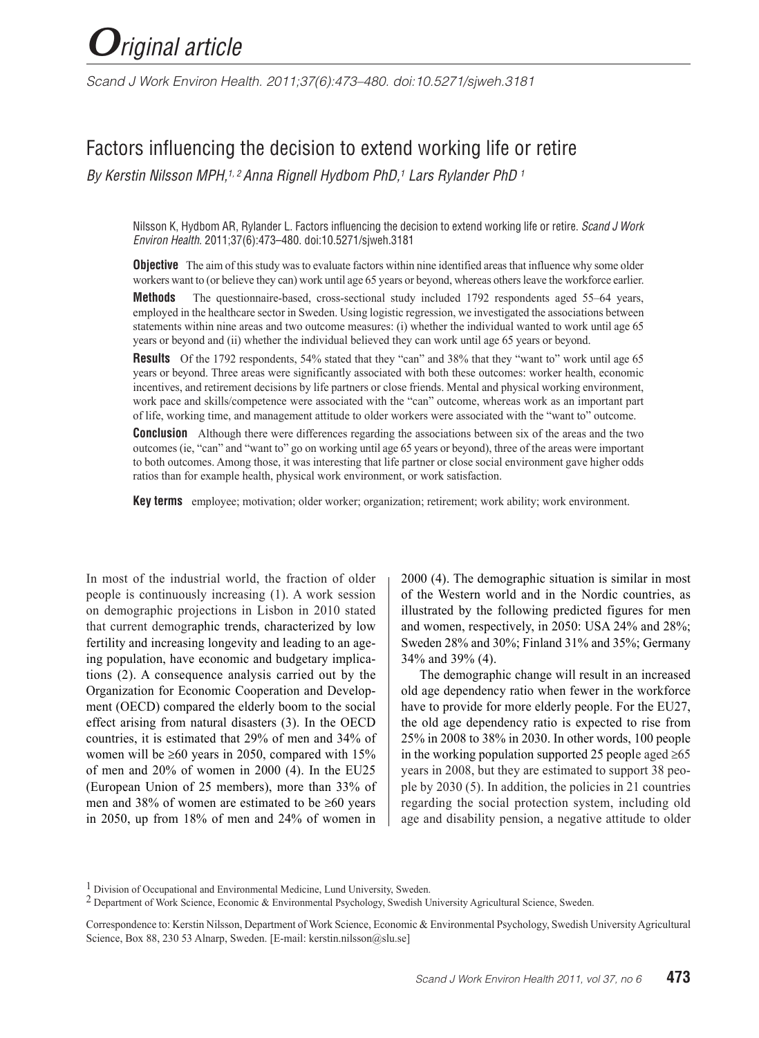*Scand J Work Environ Health. 2011;37(6):473–480. doi:10.5271/sjweh.3181*

# Factors influencing the decision to extend working life or retire

*By Kerstin Nilsson MPH,1, 2 Anna Rignell Hydbom PhD,1 Lars Rylander PhD 1*

Nilsson K, Hydbom AR, Rylander L. Factors influencing the decision to extend working life or retire. *Scand J Work Environ Health*. 2011;37(6):473–480. doi:10.5271/sjweh.3181

**Objective** The aim of this study was to evaluate factors within nine identified areas that influence why some older workers want to (or believe they can) work until age 65 years or beyond, whereas others leave the workforce earlier.

**Methods** The questionnaire-based, cross-sectional study included 1792 respondents aged 55–64 years, employed in the healthcare sector in Sweden. Using logistic regression, we investigated the associations between statements within nine areas and two outcome measures: (i) whether the individual wanted to work until age 65 years or beyond and (ii) whether the individual believed they can work until age 65 years or beyond.

**Results** Of the 1792 respondents, 54% stated that they "can" and 38% that they "want to" work until age 65 years or beyond. Three areas were significantly associated with both these outcomes: worker health, economic incentives, and retirement decisions by life partners or close friends. Mental and physical working environment, work pace and skills/competence were associated with the "can" outcome, whereas work as an important part of life, working time, and management attitude to older workers were associated with the "want to" outcome.

**Conclusion** Although there were differences regarding the associations between six of the areas and the two outcomes (ie, "can" and "want to" go on working until age 65 years or beyond), three of the areas were important to both outcomes. Among those, it was interesting that life partner or close social environment gave higher odds ratios than for example health, physical work environment, or work satisfaction.

**Key terms** employee; motivation; older worker; organization; retirement; work ability; work environment.

In most of the industrial world, the fraction of older people is continuously increasing (1). A work session on demographic projections in Lisbon in 2010 stated that current demographic trends, characterized by low fertility and increasing longevity and leading to an ageing population, have economic and budgetary implications (2). A consequence analysis carried out by the Organization for Economic Cooperation and Development (OECD) compared the elderly boom to the social effect arising from natural disasters (3). In the OECD countries, it is estimated that 29% of men and 34% of women will be  $\geq 60$  years in 2050, compared with 15% of men and 20% of women in 2000 (4). In the EU25 (European Union of 25 members), more than 33% of men and 38% of women are estimated to be ≥60 years in 2050, up from 18% of men and 24% of women in 2000 (4). The demographic situation is similar in most of the Western world and in the Nordic countries, as illustrated by the following predicted figures for men and women, respectively, in 2050: USA 24% and 28%; Sweden 28% and 30%; Finland 31% and 35%; Germany 34% and 39% (4).

The demographic change will result in an increased old age dependency ratio when fewer in the workforce have to provide for more elderly people. For the EU27, the old age dependency ratio is expected to rise from 25% in 2008 to 38% in 2030. In other words, 100 people in the working population supported 25 people aged  $\geq 65$ years in 2008, but they are estimated to support 38 people by 2030 (5). In addition, the policies in 21 countries regarding the social protection system, including old age and disability pension, a negative attitude to older

<sup>&</sup>lt;sup>1</sup> Division of Occupational and Environmental Medicine, Lund University, Sweden.

<sup>2</sup> Department of Work Science, Economic & Environmental Psychology, Swedish University Agricultural Science, Sweden.

Correspondence to: Kerstin Nilsson, Department of Work Science, Economic & Environmental Psychology, Swedish University Agricultural Science, Box 88, 230 53 Alnarp, Sweden. [E-mail: kerstin.nilsson@slu.se]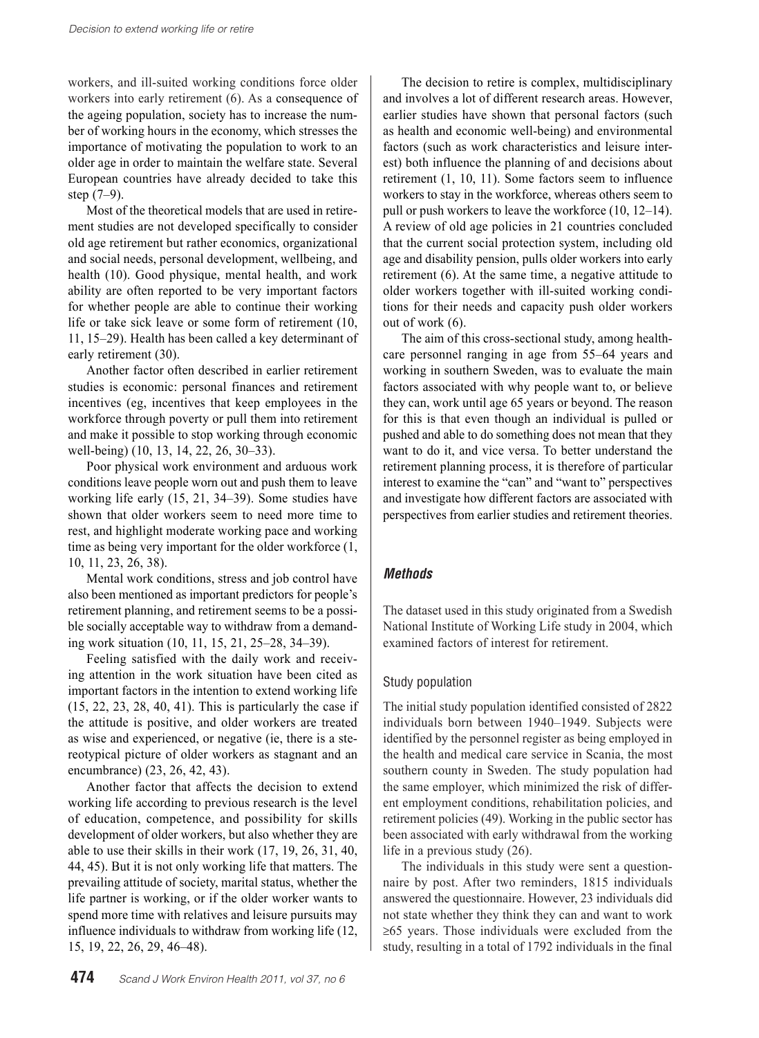workers, and ill-suited working conditions force older workers into early retirement (6). As a consequence of the ageing population, society has to increase the number of working hours in the economy, which stresses the importance of motivating the population to work to an older age in order to maintain the welfare state. Several European countries have already decided to take this step (7–9).

Most of the theoretical models that are used in retirement studies are not developed specifically to consider old age retirement but rather economics, organizational and social needs, personal development, wellbeing, and health (10). Good physique, mental health, and work ability are often reported to be very important factors for whether people are able to continue their working life or take sick leave or some form of retirement (10, 11, 15–29). Health has been called a key determinant of early retirement (30).

Another factor often described in earlier retirement studies is economic: personal finances and retirement incentives (eg, incentives that keep employees in the workforce through poverty or pull them into retirement and make it possible to stop working through economic well-being) (10, 13, 14, 22, 26, 30–33).

Poor physical work environment and arduous work conditions leave people worn out and push them to leave working life early (15, 21, 34–39). Some studies have shown that older workers seem to need more time to rest, and highlight moderate working pace and working time as being very important for the older workforce (1, 10, 11, 23, 26, 38).

Mental work conditions, stress and job control have also been mentioned as important predictors for people's retirement planning, and retirement seems to be a possible socially acceptable way to withdraw from a demanding work situation (10, 11, 15, 21, 25–28, 34–39).

Feeling satisfied with the daily work and receiving attention in the work situation have been cited as important factors in the intention to extend working life (15, 22, 23, 28, 40, 41). This is particularly the case if the attitude is positive, and older workers are treated as wise and experienced, or negative (ie, there is a stereotypical picture of older workers as stagnant and an encumbrance) (23, 26, 42, 43).

Another factor that affects the decision to extend working life according to previous research is the level of education, competence, and possibility for skills development of older workers, but also whether they are able to use their skills in their work (17, 19, 26, 31, 40, 44, 45). But it is not only working life that matters. The prevailing attitude of society, marital status, whether the life partner is working, or if the older worker wants to spend more time with relatives and leisure pursuits may influence individuals to withdraw from working life (12, 15, 19, 22, 26, 29, 46–48).

The decision to retire is complex, multidisciplinary and involves a lot of different research areas. However, earlier studies have shown that personal factors (such as health and economic well-being) and environmental factors (such as work characteristics and leisure interest) both influence the planning of and decisions about retirement (1, 10, 11). Some factors seem to influence workers to stay in the workforce, whereas others seem to pull or push workers to leave the workforce (10, 12–14). A review of old age policies in 21 countries concluded that the current social protection system, including old age and disability pension, pulls older workers into early retirement (6). At the same time, a negative attitude to older workers together with ill-suited working conditions for their needs and capacity push older workers out of work (6).

The aim of this cross-sectional study, among healthcare personnel ranging in age from 55–64 years and working in southern Sweden, was to evaluate the main factors associated with why people want to, or believe they can, work until age 65 years or beyond. The reason for this is that even though an individual is pulled or pushed and able to do something does not mean that they want to do it, and vice versa. To better understand the retirement planning process, it is therefore of particular interest to examine the "can" and "want to" perspectives and investigate how different factors are associated with perspectives from earlier studies and retirement theories.

# *Methods*

The dataset used in this study originated from a Swedish National Institute of Working Life study in 2004, which examined factors of interest for retirement.

# Study population

The initial study population identified consisted of 2822 individuals born between 1940–1949. Subjects were identified by the personnel register as being employed in the health and medical care service in Scania, the most southern county in Sweden. The study population had the same employer, which minimized the risk of different employment conditions, rehabilitation policies, and retirement policies (49). Working in the public sector has been associated with early withdrawal from the working life in a previous study (26).

The individuals in this study were sent a questionnaire by post. After two reminders, 1815 individuals answered the questionnaire. However, 23 individuals did not state whether they think they can and want to work ≥65 years. Those individuals were excluded from the study, resulting in a total of 1792 individuals in the final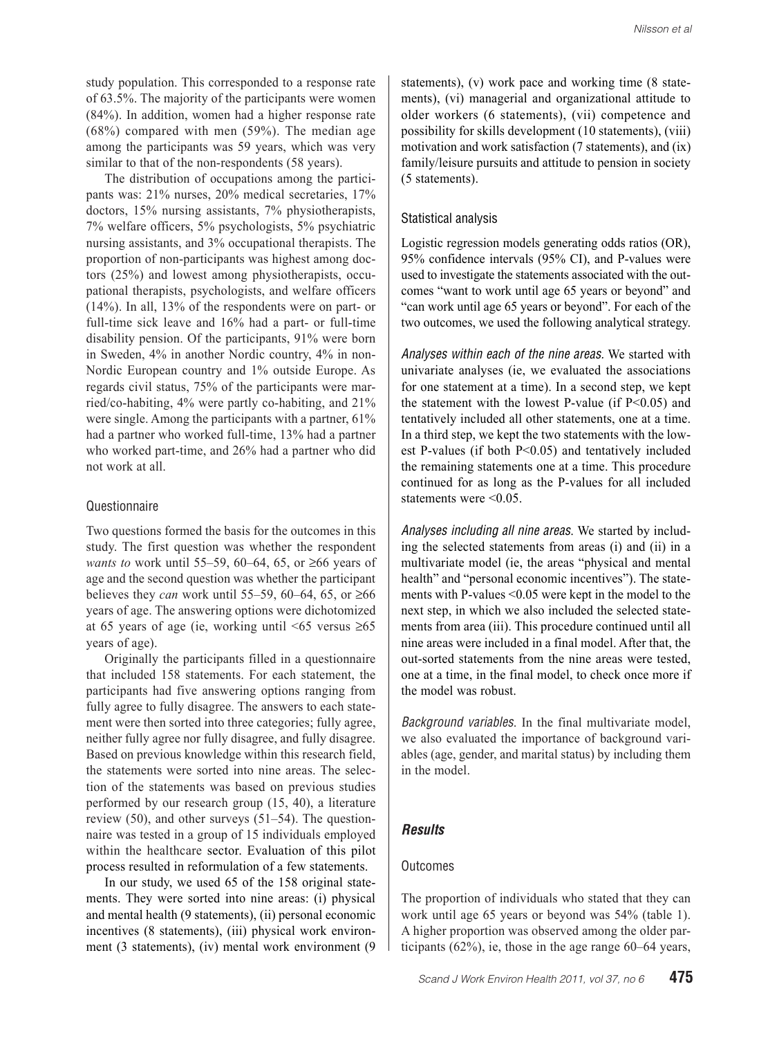study population. This corresponded to a response rate of 63.5%. The majority of the participants were women (84%). In addition, women had a higher response rate (68%) compared with men (59%). The median age among the participants was 59 years, which was very similar to that of the non-respondents (58 years).

The distribution of occupations among the participants was: 21% nurses, 20% medical secretaries, 17% doctors, 15% nursing assistants, 7% physiotherapists, 7% welfare officers, 5% psychologists, 5% psychiatric nursing assistants, and 3% occupational therapists. The proportion of non-participants was highest among doctors (25%) and lowest among physiotherapists, occupational therapists, psychologists, and welfare officers (14%). In all, 13% of the respondents were on part- or full-time sick leave and 16% had a part- or full-time disability pension. Of the participants, 91% were born in Sweden, 4% in another Nordic country, 4% in non-Nordic European country and 1% outside Europe. As regards civil status, 75% of the participants were married/co-habiting, 4% were partly co-habiting, and 21% were single. Among the participants with a partner, 61% had a partner who worked full-time, 13% had a partner who worked part-time, and 26% had a partner who did not work at all.

#### Questionnaire

Two questions formed the basis for the outcomes in this study. The first question was whether the respondent *wants to* work until 55–59, 60–64, 65, or ≥66 years of age and the second question was whether the participant believes they *can* work until 55–59, 60–64, 65, or ≥66 years of age. The answering options were dichotomized at 65 years of age (ie, working until  $\leq 65$  versus  $\geq 65$ years of age).

Originally the participants filled in a questionnaire that included 158 statements. For each statement, the participants had five answering options ranging from fully agree to fully disagree. The answers to each statement were then sorted into three categories; fully agree, neither fully agree nor fully disagree, and fully disagree. Based on previous knowledge within this research field, the statements were sorted into nine areas. The selection of the statements was based on previous studies performed by our research group (15, 40), a literature review (50), and other surveys (51–54). The questionnaire was tested in a group of 15 individuals employed within the healthcare sector. Evaluation of this pilot process resulted in reformulation of a few statements.

In our study, we used 65 of the 158 original statements. They were sorted into nine areas: (i) physical and mental health (9 statements), (ii) personal economic incentives (8 statements), (iii) physical work environment (3 statements), (iv) mental work environment (9 statements), (v) work pace and working time (8 statements), (vi) managerial and organizational attitude to older workers (6 statements), (vii) competence and possibility for skills development (10 statements), (viii) motivation and work satisfaction (7 statements), and (ix) family/leisure pursuits and attitude to pension in society (5 statements).

#### Statistical analysis

Logistic regression models generating odds ratios (OR), 95% confidence intervals (95% CI), and P-values were used to investigate the statements associated with the outcomes "want to work until age 65 years or beyond" and "can work until age 65 years or beyond". For each of the two outcomes, we used the following analytical strategy.

*Analyses within each of the nine areas.* We started with univariate analyses (ie, we evaluated the associations for one statement at a time). In a second step, we kept the statement with the lowest P-value (if  $P < 0.05$ ) and tentatively included all other statements, one at a time. In a third step, we kept the two statements with the lowest P-values (if both P<0.05) and tentatively included the remaining statements one at a time. This procedure continued for as long as the P-values for all included statements were  $\leq 0.05$ .

*Analyses including all nine areas*. We started by including the selected statements from areas (i) and (ii) in a multivariate model (ie, the areas "physical and mental health" and "personal economic incentives"). The statements with P-values <0.05 were kept in the model to the next step, in which we also included the selected statements from area (iii). This procedure continued until all nine areas were included in a final model. After that, the out-sorted statements from the nine areas were tested, one at a time, in the final model, to check once more if the model was robust.

*Background variables*. In the final multivariate model, we also evaluated the importance of background variables (age, gender, and marital status) by including them in the model.

#### *Results*

## **Outcomes**

The proportion of individuals who stated that they can work until age 65 years or beyond was 54% (table 1). A higher proportion was observed among the older participants (62%), ie, those in the age range 60–64 years,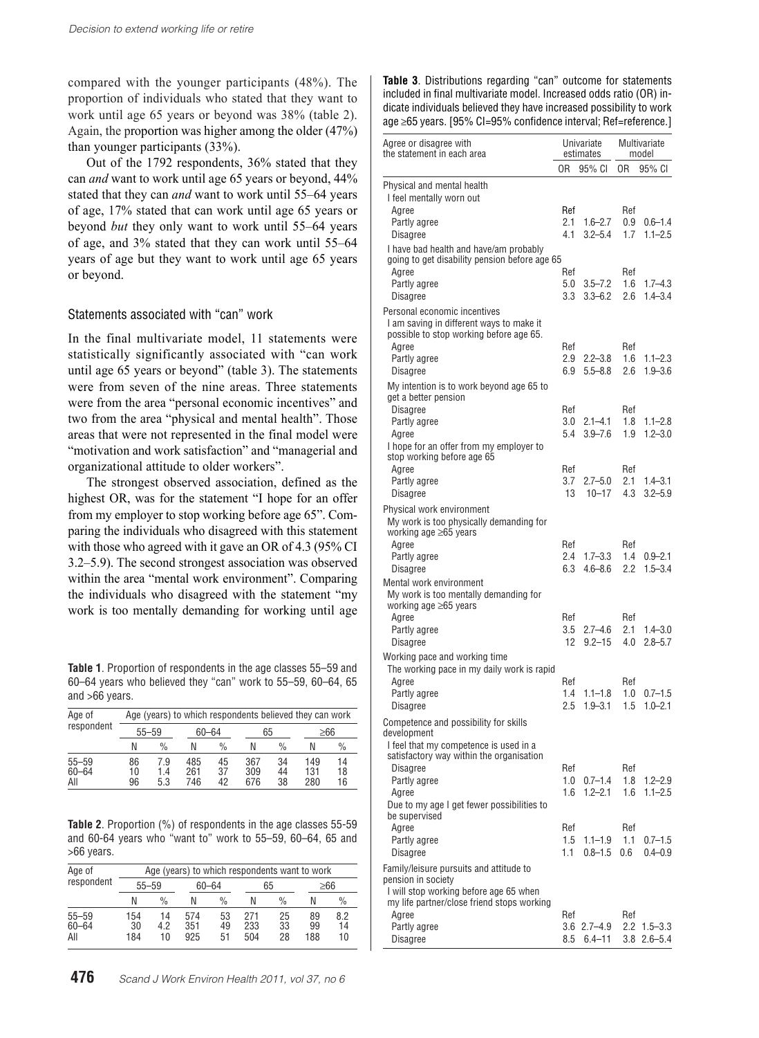compared with the younger participants (48%). The proportion of individuals who stated that they want to work until age 65 years or beyond was 38% (table 2). Again, the proportion was higher among the older (47%) than younger participants (33%).

Out of the 1792 respondents, 36% stated that they can *and* want to work until age 65 years or beyond, 44% stated that they can *and* want to work until 55–64 years of age, 17% stated that can work until age 65 years or beyond *but* they only want to work until 55–64 years of age, and 3% stated that they can work until 55–64 years of age but they want to work until age 65 years or beyond.

## Statements associated with "can" work

In the final multivariate model, 11 statements were statistically significantly associated with "can work until age 65 years or beyond" (table 3). The statements were from seven of the nine areas. Three statements were from the area "personal economic incentives" and two from the area "physical and mental health". Those areas that were not represented in the final model were "motivation and work satisfaction" and "managerial and organizational attitude to older workers".

The strongest observed association, defined as the highest OR, was for the statement "I hope for an offer from my employer to stop working before age 65". Comparing the individuals who disagreed with this statement with those who agreed with it gave an OR of 4.3 (95% CI 3.2–5.9). The second strongest association was observed within the area "mental work environment". Comparing the individuals who disagreed with the statement "my work is too mentally demanding for working until age

**Table 1**. Proportion of respondents in the age classes 55–59 and 60–64 years who believed they "can" work to 55–59, 60–64, 65 and >66 years.

| Age of<br>respondent          | Age (years) to which respondents believed they can work |                   |                   |                |                   |                |                   |                |
|-------------------------------|---------------------------------------------------------|-------------------|-------------------|----------------|-------------------|----------------|-------------------|----------------|
|                               | $55 - 59$                                               |                   | 60-64             |                | 65                |                | ≥66               |                |
|                               | Ν                                                       | $\frac{0}{0}$     | Ν                 | $\frac{0}{0}$  | N                 | $\frac{0}{0}$  | N                 | $\frac{0}{0}$  |
| $55 - 59$<br>$60 - 64$<br>All | 86<br>10<br>96                                          | 7.9<br>1.4<br>5.3 | 485<br>261<br>746 | 45<br>37<br>42 | 367<br>309<br>676 | 34<br>44<br>38 | 149<br>131<br>280 | 14<br>18<br>16 |

**Table 2**. Proportion (%) of respondents in the age classes 55-59 and 60-64 years who "want to" work to 55–59, 60–64, 65 and >66 years.

| Age of                        | Age (years) to which respondents want to work |                |                   |                |                   |                |                 |                 |
|-------------------------------|-----------------------------------------------|----------------|-------------------|----------------|-------------------|----------------|-----------------|-----------------|
| respondent                    | $55 - 59$                                     |                | 60-64             |                | 65                |                | ≥66             |                 |
|                               | N                                             | $\frac{0}{0}$  | N                 | $\%$           | Ν                 | $\%$           | Ν               | $\frac{0}{0}$   |
| $55 - 59$<br>$60 - 64$<br>All | 154<br>30<br>184                              | 14<br>42<br>10 | 574<br>351<br>925 | 53<br>49<br>51 | 271<br>233<br>504 | 25<br>33<br>28 | 89<br>99<br>188 | 8.2<br>14<br>10 |

**Table 3**. Distributions regarding "can" outcome for statements included in final multivariate model. Increased odds ratio (OR) indicate individuals believed they have increased possibility to work age ≥65 years. [95% CI=95% confidence interval; Ref=reference.]

| Agree or disagree with<br>the statement in each area                                                                |                   | Univariate<br>estimates     | Multivariate<br>model |                              |
|---------------------------------------------------------------------------------------------------------------------|-------------------|-----------------------------|-----------------------|------------------------------|
|                                                                                                                     | 0R                | 95% CI                      | 0R                    | 95% CI                       |
| Physical and mental health<br>I feel mentally worn out                                                              |                   |                             |                       |                              |
| Agree<br>Partly agree<br>Disagree                                                                                   | Ref<br>2.1<br>4.1 | $1.6 - 2.7$<br>$3.2 - 5.4$  | Ref<br>0.9<br>1.7     | $0.6 - 1.4$<br>$1.1 - 2.5$   |
| I have bad health and have/am probably<br>going to get disability pension before age 65<br>Agree                    | Ref               |                             | Ref                   |                              |
| Partly agree<br>Disagree                                                                                            | 5.0<br>3.3        | $3.5 - 7.2$<br>$3.3 - 6.2$  | 1.6<br>2.6            | $1.7 - 4.3$<br>$1.4 - 3.4$   |
| Personal economic incentives<br>I am saving in different ways to make it<br>possible to stop working before age 65. |                   |                             |                       |                              |
| Agree<br>Partly agree<br>Disagree                                                                                   | Ref<br>2.9<br>6.9 | $2.2 - 3.8$<br>$5.5 - 8.8$  | Ref<br>1.6<br>2.6     | $1.1 - 2.3$<br>$1.9 - 3.6$   |
| My intention is to work beyond age 65 to<br>get a better pension                                                    |                   |                             |                       |                              |
| Disagree<br>Partly agree                                                                                            | Ref<br>3.0        | $2.1 - 4.1$                 | Ref<br>1.8            | $1.1 - 2.8$                  |
| Agree<br>I hope for an offer from my employer to<br>stop working before age 65                                      | 5.4               | $3.9 - 7.6$                 | 1.9                   | $1.2 - 3.0$                  |
| Agree<br>Partly agree                                                                                               | Ref<br>3.7        | $2.7 - 5.0$                 | Ref<br>2.1            | $1.4 - 3.1$                  |
| Disagree<br>Physical work environment<br>My work is too physically demanding for                                    | 13                | $10 - 17$                   | 4.3                   | $3.2 - 5.9$                  |
| working age ≥65 years<br>Agree<br>Partly agree                                                                      | Ref<br>2.4<br>6.3 | $1.7 - 3.3$<br>$4.6 - 8.6$  | Ref<br>1.4<br>2.2     | $0.9 - 2.1$<br>$1.5 - 3.4$   |
| Disagree<br>Mental work environment<br>My work is too mentally demanding for<br>working age $\geq 65$ years         |                   |                             |                       |                              |
| Agree<br>Partly agree                                                                                               | Ref<br>3.5        | $2.7 - 4.6$                 | Ref<br>2.1            | $1.4 - 3.0$                  |
| Disagree<br>Working pace and working time                                                                           | 12                | $9.2 - 15$                  | 4.0                   | $2.8 - 5.7$                  |
| The working pace in my daily work is rapid<br>Agree                                                                 | Ref               |                             | Ref                   |                              |
| Partly agree<br>Disagree                                                                                            | 1.4<br>2.5        | $1.1 - 1.8$<br>$1.9 - 3.1$  | 1.0<br>1.5            | $0.7 - 1.5$<br>$1.0 - 2.1$   |
| Competence and possibility for skills<br>development<br>I feel that my competence is used in a                      |                   |                             |                       |                              |
| satisfactory way within the organisation<br><b>Disagree</b><br>Partly agree                                         | Ref<br>1.0        | $0.7 - 1.4$                 | Ref<br>1.8            | $1.2 - 2.9$                  |
| Agree<br>Due to my age I get fewer possibilities to<br>be supervised                                                | 1.6               | $1.2 - 2.1$                 | 1.6                   | $1.1 - 2.5$                  |
| Agree<br>Partly agree                                                                                               | Ref<br>1.5        | $1.1 - 1.9$                 | Ref<br>1.1            | $0.7 - 1.5$                  |
| <b>Disagree</b><br>Family/leisure pursuits and attitude to                                                          | 1.1               | $0.8 - 1.5$                 | 0.6                   | $04 - 09$                    |
| pension in society<br>I will stop working before age 65 when<br>my life partner/close friend stops working          |                   |                             |                       |                              |
| Agree<br>Partly agree<br>Disagree                                                                                   | Ref<br>8.5        | $3.6$ 2.7-4.9<br>$6.4 - 11$ | Ref<br>2.2            | $1.5 - 3.3$<br>$3.8$ 2.6-5.4 |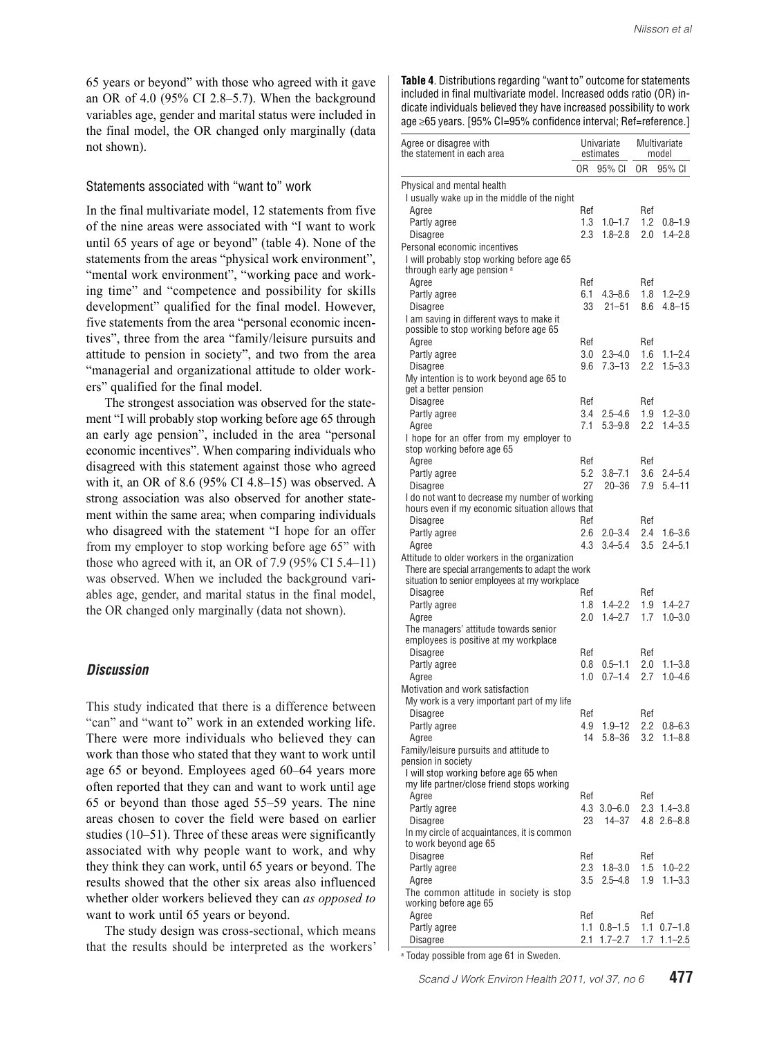65 years or beyond" with those who agreed with it gave an OR of 4.0 (95% CI 2.8–5.7). When the background variables age, gender and marital status were included in the final model, the OR changed only marginally (data not shown).

#### Statements associated with "want to" work

In the final multivariate model, 12 statements from five of the nine areas were associated with "I want to work until 65 years of age or beyond" (table 4). None of the statements from the areas "physical work environment", "mental work environment", "working pace and working time" and "competence and possibility for skills development" qualified for the final model. However, five statements from the area "personal economic incentives", three from the area "family/leisure pursuits and attitude to pension in society", and two from the area "managerial and organizational attitude to older workers" qualified for the final model.

The strongest association was observed for the statement "I will probably stop working before age 65 through an early age pension", included in the area "personal economic incentives". When comparing individuals who disagreed with this statement against those who agreed with it, an OR of 8.6 (95% CI 4.8–15) was observed. A strong association was also observed for another statement within the same area; when comparing individuals who disagreed with the statement "I hope for an offer from my employer to stop working before age 65" with those who agreed with it, an OR of 7.9 (95% CI 5.4–11) was observed. When we included the background variables age, gender, and marital status in the final model, the OR changed only marginally (data not shown).

## *Discussion*

This study indicated that there is a difference between "can" and "want to" work in an extended working life. There were more individuals who believed they can work than those who stated that they want to work until age 65 or beyond. Employees aged 60–64 years more often reported that they can and want to work until age 65 or beyond than those aged 55–59 years. The nine areas chosen to cover the field were based on earlier studies (10–51). Three of these areas were significantly associated with why people want to work, and why they think they can work, until 65 years or beyond. The results showed that the other six areas also influenced whether older workers believed they can *as opposed to* want to work until 65 years or beyond.

The study design was cross-sectional, which means that the results should be interpreted as the workers' **Table 4**. Distributions regarding "want to" outcome for statements included in final multivariate model. Increased odds ratio (OR) indicate individuals believed they have increased possibility to work age ≥65 years. [95% CI=95% confidence interval; Ref=reference.]

| Agree or disagree with<br>the statement in each area                           |                | Univariate<br>estimates    | Multivariate<br>model |                            |  |  |  |
|--------------------------------------------------------------------------------|----------------|----------------------------|-----------------------|----------------------------|--|--|--|
|                                                                                | 0 <sub>R</sub> | 95% CI                     | 0R                    | 95% CI                     |  |  |  |
| Physical and mental health                                                     |                |                            |                       |                            |  |  |  |
| I usually wake up in the middle of the night                                   |                |                            |                       |                            |  |  |  |
| Agree                                                                          | Ref            |                            | Ref                   |                            |  |  |  |
| Partly agree                                                                   | 1.3            | $1.0 - 1.7$                | 1.2                   | 0.8–1.9                    |  |  |  |
| <b>Disagree</b>                                                                | 2.3            | $1.8 - 2.8$                | 2.0                   | $1.4 - 2.8$                |  |  |  |
| Personal economic incentives<br>I will probably stop working before age 65     |                |                            |                       |                            |  |  |  |
| through early age pension a                                                    |                |                            |                       |                            |  |  |  |
| Agree                                                                          | Ref            |                            | Ref                   |                            |  |  |  |
| Partly agree                                                                   | 6.1            | $4.3 - 8.6$                | 1.8                   | $1.2 - 2.9$                |  |  |  |
| Disagree                                                                       | 33             | $21 - 51$                  | 8.6                   | $4.8 - 15$                 |  |  |  |
| I am saving in different ways to make it                                       |                |                            |                       |                            |  |  |  |
| possible to stop working before age 65                                         |                |                            |                       |                            |  |  |  |
| Agree<br>Partly agree                                                          | Ref<br>3.0     | $2.3 - 4.0$                | Ref<br>1.6            | $1.1 - 2.4$                |  |  |  |
| Disagree                                                                       | 9.6            | $7.3 - 13$                 | 2.2                   | $1.5 - 3.3$                |  |  |  |
| My intention is to work beyond age 65 to                                       |                |                            |                       |                            |  |  |  |
| get a better pension                                                           |                |                            |                       |                            |  |  |  |
| Disagree                                                                       | Ref            |                            | Ref                   |                            |  |  |  |
| Partly agree                                                                   | 3.4            | $2.5 - 4.6$                | 1.9                   | $1.2 - 3.0$                |  |  |  |
| Agree                                                                          | 7.1            | $5.3 - 9.8$                | 2.2                   | $14 - 35$                  |  |  |  |
| I hope for an offer from my employer to<br>stop working before age 65          |                |                            |                       |                            |  |  |  |
| Agree                                                                          | Ref            |                            | Ref                   |                            |  |  |  |
| Partly agree                                                                   | 5.2            | $3.8 - 7.1$                | 3.6                   | $2.4 - 5.4$                |  |  |  |
| Disagree                                                                       | 27             | $20 - 36$                  | 7.9                   | $5.4 - 11$                 |  |  |  |
| I do not want to decrease my number of working                                 |                |                            |                       |                            |  |  |  |
| hours even if my economic situation allows that                                |                |                            |                       |                            |  |  |  |
| Disagree                                                                       | Ref            |                            | Ref                   |                            |  |  |  |
| Partly agree                                                                   | 2.6<br>4.3     | $2.0 - 3.4$<br>$3.4 - 5.4$ | 2.4<br>3.5            | $1.6 - 3.6$<br>$2.4 - 5.1$ |  |  |  |
| Agree<br>Attitude to older workers in the organization                         |                |                            |                       |                            |  |  |  |
| There are special arrangements to adapt the work                               |                |                            |                       |                            |  |  |  |
| situation to senior employees at my workplace                                  |                |                            |                       |                            |  |  |  |
| Disagree                                                                       | Ref            |                            | Ref                   |                            |  |  |  |
| Partly agree                                                                   | 1.8            | $1.4 - 2.2$                | 1.9                   | $1.4 - 2.7$                |  |  |  |
| Agree                                                                          | 2.0            | $1.4 - 2.7$                | 1.7                   | $1.0 - 3.0$                |  |  |  |
| The managers' attitude towards senior<br>employees is positive at my workplace |                |                            |                       |                            |  |  |  |
| <b>Disagree</b>                                                                | Ref            |                            | Ref                   |                            |  |  |  |
| Partly agree                                                                   | 0.8            | $0.5 - 1.1$                | 2.0                   | $1.1 - 3.8$                |  |  |  |
| Agree                                                                          | 1.0            | $0.7 - 1.4$                | 2.7                   | $1.0 - 4.6$                |  |  |  |
| Motivation and work satisfaction                                               |                |                            |                       |                            |  |  |  |
| My work is a very important part of my life                                    |                |                            |                       |                            |  |  |  |
| <b>Disagree</b>                                                                | Ref            |                            | Ref                   |                            |  |  |  |
| Partly agree                                                                   | 4.9            | $1.9 - 12$                 | 2.2                   | $0.8 - 6.3$                |  |  |  |
| Agree                                                                          | 14             | $5.8 - 36$                 | 3.2                   | $1.1 - 8.8$                |  |  |  |
| Family/leisure pursuits and attitude to<br>pension in society                  |                |                            |                       |                            |  |  |  |
| I will stop working before age 65 when                                         |                |                            |                       |                            |  |  |  |
| my life partner/close friend stops working                                     |                |                            |                       |                            |  |  |  |
| Agree                                                                          | Ref            |                            | Ref                   |                            |  |  |  |
| Partly agree                                                                   | 4.3            | $3.0 - 6.0$                |                       | $2.3$ 1.4-3.8              |  |  |  |
| Disagree                                                                       | 23             | $14 - 37$                  |                       | $4.8$ 2.6-8.8              |  |  |  |
| In my circle of acquaintances, it is common<br>to work beyond age 65           |                |                            |                       |                            |  |  |  |
| Disagree                                                                       | Ref            |                            | Ref                   |                            |  |  |  |
| Partly agree                                                                   | 2.3            | $1.8 - 3.0$                | 1.5                   | $1.0 - 2.2$                |  |  |  |
| Agree                                                                          | 3.5            | $2.5 - 4.8$                | 1.9                   | $1.1 - 3.3$                |  |  |  |
| The common attitude in society is stop                                         |                |                            |                       |                            |  |  |  |
| working before age 65                                                          |                |                            |                       |                            |  |  |  |
| Agree<br>Partly agree                                                          | Ref<br>1.1     | $0.8 - 1.5$                | Ref<br>1.1            | $0.7 - 1.8$                |  |  |  |
| Disagree                                                                       | 2.1            | $1.7 - 2.7$                | 1.7                   | $1.1 - 2.5$                |  |  |  |
|                                                                                |                |                            |                       |                            |  |  |  |

a Today possible from age 61 in Sweden.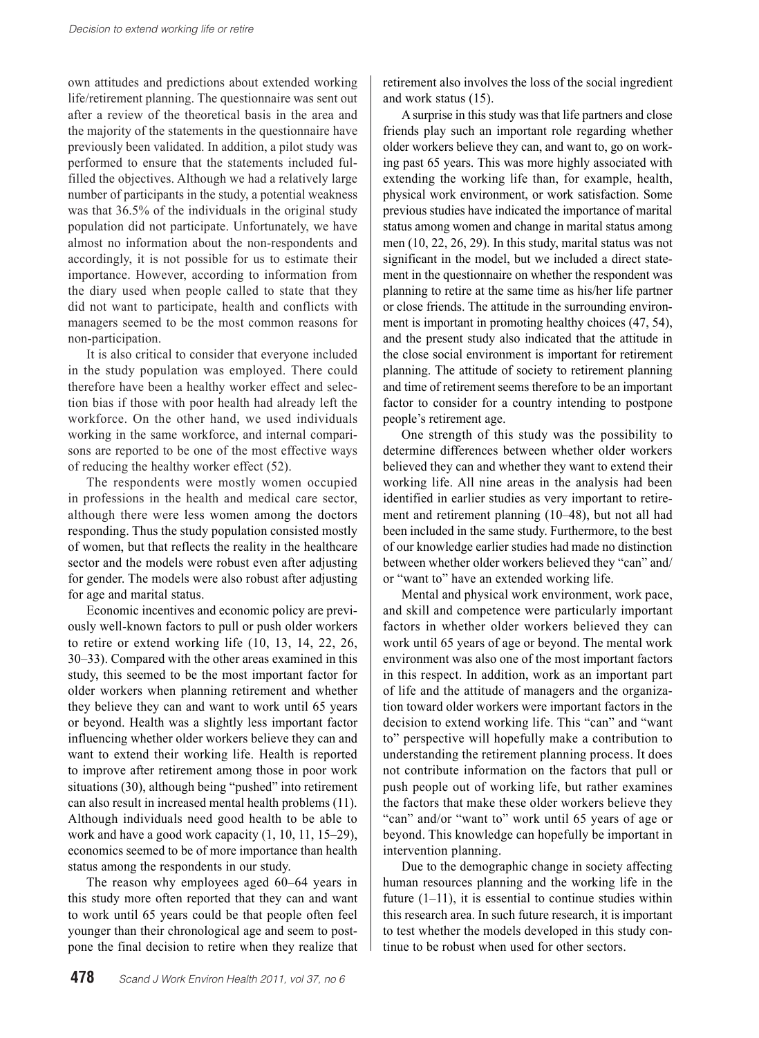own attitudes and predictions about extended working life/retirement planning. The questionnaire was sent out after a review of the theoretical basis in the area and the majority of the statements in the questionnaire have previously been validated. In addition, a pilot study was performed to ensure that the statements included fulfilled the objectives. Although we had a relatively large number of participants in the study, a potential weakness was that 36.5% of the individuals in the original study population did not participate. Unfortunately, we have almost no information about the non-respondents and accordingly, it is not possible for us to estimate their importance. However, according to information from the diary used when people called to state that they did not want to participate, health and conflicts with managers seemed to be the most common reasons for non-participation.

It is also critical to consider that everyone included in the study population was employed. There could therefore have been a healthy worker effect and selection bias if those with poor health had already left the workforce. On the other hand, we used individuals working in the same workforce, and internal comparisons are reported to be one of the most effective ways of reducing the healthy worker effect (52).

The respondents were mostly women occupied in professions in the health and medical care sector, although there were less women among the doctors responding. Thus the study population consisted mostly of women, but that reflects the reality in the healthcare sector and the models were robust even after adjusting for gender. The models were also robust after adjusting for age and marital status.

Economic incentives and economic policy are previously well-known factors to pull or push older workers to retire or extend working life (10, 13, 14, 22, 26, 30–33). Compared with the other areas examined in this study, this seemed to be the most important factor for older workers when planning retirement and whether they believe they can and want to work until 65 years or beyond. Health was a slightly less important factor influencing whether older workers believe they can and want to extend their working life. Health is reported to improve after retirement among those in poor work situations (30), although being "pushed" into retirement can also result in increased mental health problems (11). Although individuals need good health to be able to work and have a good work capacity (1, 10, 11, 15–29), economics seemed to be of more importance than health status among the respondents in our study.

The reason why employees aged 60–64 years in this study more often reported that they can and want to work until 65 years could be that people often feel younger than their chronological age and seem to postpone the final decision to retire when they realize that

retirement also involves the loss of the social ingredient and work status (15).

A surprise in this study was that life partners and close friends play such an important role regarding whether older workers believe they can, and want to, go on working past 65 years. This was more highly associated with extending the working life than, for example, health, physical work environment, or work satisfaction. Some previous studies have indicated the importance of marital status among women and change in marital status among men (10, 22, 26, 29). In this study, marital status was not significant in the model, but we included a direct statement in the questionnaire on whether the respondent was planning to retire at the same time as his/her life partner or close friends. The attitude in the surrounding environment is important in promoting healthy choices (47, 54), and the present study also indicated that the attitude in the close social environment is important for retirement planning. The attitude of society to retirement planning and time of retirement seems therefore to be an important factor to consider for a country intending to postpone people's retirement age.

One strength of this study was the possibility to determine differences between whether older workers believed they can and whether they want to extend their working life. All nine areas in the analysis had been identified in earlier studies as very important to retirement and retirement planning (10–48), but not all had been included in the same study. Furthermore, to the best of our knowledge earlier studies had made no distinction between whether older workers believed they "can" and/ or "want to" have an extended working life.

Mental and physical work environment, work pace, and skill and competence were particularly important factors in whether older workers believed they can work until 65 years of age or beyond. The mental work environment was also one of the most important factors in this respect. In addition, work as an important part of life and the attitude of managers and the organization toward older workers were important factors in the decision to extend working life. This "can" and "want to" perspective will hopefully make a contribution to understanding the retirement planning process. It does not contribute information on the factors that pull or push people out of working life, but rather examines the factors that make these older workers believe they "can" and/or "want to" work until 65 years of age or beyond. This knowledge can hopefully be important in intervention planning.

Due to the demographic change in society affecting human resources planning and the working life in the future  $(1-11)$ , it is essential to continue studies within this research area. In such future research, it is important to test whether the models developed in this study continue to be robust when used for other sectors.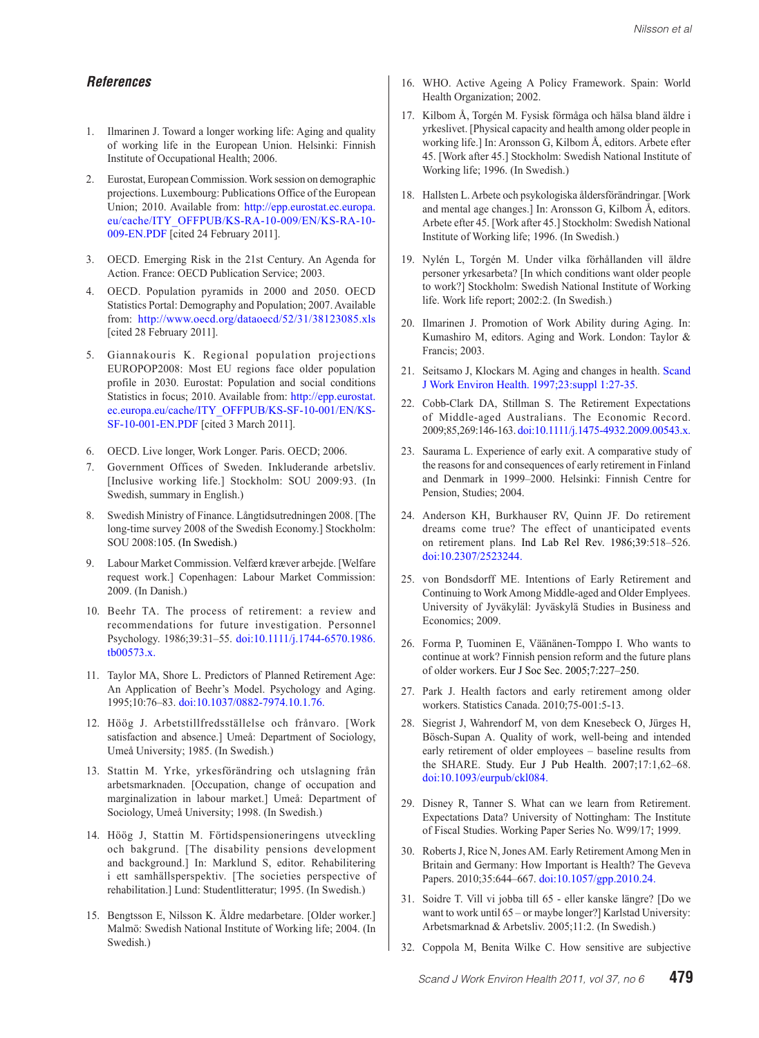#### *References*

- 1. Ilmarinen J. Toward a longer working life: Aging and quality of working life in the European Union. Helsinki: Finnish Institute of Occupational Health; 2006.
- 2. Eurostat, European Commission. Work session on demographic projections. Luxembourg: Publications Office of the European Union; 2010. Available from: [http://epp.eurostat.ec.europa.](http://epp.eurostat.ec.europa.eu/cache/ITY_OFFPUB/KS-RA-10-009/EN/KS-RA-10-009-EN.PDF) [eu/cache/ITY\\_OFFPUB/KS-RA-10-009/EN/KS-RA-10-](http://epp.eurostat.ec.europa.eu/cache/ITY_OFFPUB/KS-RA-10-009/EN/KS-RA-10-009-EN.PDF) [009-EN.PDF](http://epp.eurostat.ec.europa.eu/cache/ITY_OFFPUB/KS-RA-10-009/EN/KS-RA-10-009-EN.PDF) [cited 24 February 2011].
- 3. OECD. Emerging Risk in the 21st Century. An Agenda for Action. France: OECD Publication Service; 2003.
- 4. OECD. Population pyramids in 2000 and 2050. OECD Statistics Portal: Demography and Population; 2007. Available from: <http://www.oecd.org/dataoecd/52/31/38123085.xls> [cited 28 February 2011].
- 5. Giannakouris K. Regional population projections EUROPOP2008: Most EU regions face older population profile in 2030. Eurostat: Population and social conditions Statistics in focus; 2010. Available from: [http://epp.eurostat.](http://epp.eurostat.ec.europa.eu/cache/ITY_OFFPUB/KS-SF-10-001/EN/KS-SF-10-001-EN.PDF) [ec.europa.eu/cache/ITY\\_OFFPUB/KS-SF-10-001/EN/KS-](http://epp.eurostat.ec.europa.eu/cache/ITY_OFFPUB/KS-SF-10-001/EN/KS-SF-10-001-EN.PDF)[SF-10-001-EN.PDF](http://epp.eurostat.ec.europa.eu/cache/ITY_OFFPUB/KS-SF-10-001/EN/KS-SF-10-001-EN.PDF) [cited 3 March 2011].
- 6. OECD. Live longer, Work Longer. Paris. OECD; 2006.
- 7. Government Offices of Sweden. Inkluderande arbetsliv. [Inclusive working life.] Stockholm: SOU 2009:93. (In Swedish, summary in English.)
- 8. Swedish Ministry of Finance. Långtidsutredningen 2008. [The long-time survey 2008 of the Swedish Economy.] Stockholm: SOU 2008:105. (In Swedish.)
- 9. Labour Market Commission. Velfærd kræver arbejde. [Welfare request work.] Copenhagen: Labour Market Commission: 2009. (In Danish.)
- 10. Beehr TA. The process of retirement: a review and recommendations for future investigation. Personnel Psychology. 1986;39:31–55. do[i:10.1111/j.1744-6570.1986.](http://dx.doi.org/10.1111/j.1744-6570.1986.tb00573.x) [tb00573.x.](http://dx.doi.org/10.1111/j.1744-6570.1986.tb00573.x)
- 11. Taylor MA, Shore L. Predictors of Planned Retirement Age: An Application of Beehr's Model. Psychology and Aging. 1995;10:76–83. do[i:10.1037/0882-7974.10.1.76.](http://dx.doi.org/10.1037/0882-7974.10.1.76)
- 12. Höög J. Arbetstillfredsställelse och frånvaro. [Work satisfaction and absence.] Umeå: Department of Sociology, Umeå University; 1985. (In Swedish.)
- 13. Stattin M. Yrke, yrkesförändring och utslagning från arbetsmarknaden. [Occupation, change of occupation and marginalization in labour market.] Umeå: Department of Sociology, Umeå University; 1998. (In Swedish.)
- 14. Höög J, Stattin M. Förtidspensioneringens utveckling och bakgrund. [The disability pensions development and background.] In: Marklund S, editor. Rehabilitering i ett samhällsperspektiv. [The societies perspective of rehabilitation.] Lund: Studentlitteratur; 1995. (In Swedish.)
- 15. Bengtsson E, Nilsson K. Äldre medarbetare. [Older worker.] Malmö: Swedish National Institute of Working life; 2004. (In Swedish.)
- 16. WHO. Active Ageing A Policy Framework. Spain: World Health Organization; 2002.
- 17. Kilbom Å, Torgén M. Fysisk förmåga och hälsa bland äldre i yrkeslivet. [Physical capacity and health among older people in working life.] In: Aronsson G, Kilbom Å, editors. Arbete efter 45. [Work after 45.] Stockholm: Swedish National Institute of Working life; 1996. (In Swedish.)
- 18. Hallsten L. Arbete och psykologiska åldersförändringar. [Work and mental age changes.] In: Aronsson G, Kilbom Å, editors. Arbete efter 45. [Work after 45.] Stockholm: Swedish National Institute of Working life; 1996. (In Swedish.)
- 19. Nylén L, Torgén M. Under vilka förhållanden vill äldre personer yrkesarbeta? [In which conditions want older people to work?] Stockholm: Swedish National Institute of Working life. Work life report; 2002:2. (In Swedish.)
- 20. Ilmarinen J. Promotion of Work Ability during Aging. In: Kumashiro M, editors. Aging and Work. London: Taylor & Francis; 2003.
- 21. Seitsamo J, Klockars M. Aging and changes in health. [Scand](http://www.sjweh.fi/show_abstract.php?abstract_id=210)  [J Work Environ Health. 1997;23:suppl 1:27-35.](http://www.sjweh.fi/show_abstract.php?abstract_id=210)
- 22. Cobb-Clark DA, Stillman S. The Retirement Expectations of Middle-aged Australians. The Economic Record. 2009;85,269:146-163. d[oi:10.1111/j.1475-4932.2009.00543.x.](http://dx.doi.org/10.1111/j.1475-4932.2009.00543.x)
- 23. Saurama L. Experience of early exit. A comparative study of the reasons for and consequences of early retirement in Finland and Denmark in 1999–2000. Helsinki: Finnish Centre for Pension, Studies; 2004.
- 24. Anderson KH, Burkhauser RV, Quinn JF. Do retirement dreams come true? The effect of unanticipated events on retirement plans. Ind Lab Rel Rev. 1986;39:518–526. do[i:10.2307/2523244.](http://dx.doi.org/10.2307/2523244)
- 25. von Bondsdorff ME. Intentions of Early Retirement and Continuing to Work Among Middle-aged and Older Emplyees. University of Jyväkyläl: Jyväskylä Studies in Business and Economics; 2009.
- 26. Forma P, Tuominen E, Väänänen-Tomppo I. Who wants to continue at work? Finnish pension reform and the future plans of older workers. Eur J Soc Sec. 2005;7:227–250.
- 27. Park J. Health factors and early retirement among older workers. Statistics Canada. 2010;75-001:5-13.
- 28. Siegrist J, Wahrendorf M, von dem Knesebeck O, Jürges H, Bösch-Supan A. Quality of work, well-being and intended early retirement of older employees – baseline results from the SHARE. Study. Eur J Pub Health. 2007;17:1,62–68. do[i:10.1093/eurpub/ckl084.](http://dx.doi.org/10.1093/eurpub/ckl084)
- [2](http://dx.doi.org/10.1093/eurpub/ckl084)9. Disney R, Tanner S. What can we learn from Retirement. Expectations Data? University of Nottingham: The Institute of Fiscal Studies. Working Paper Series No. W99/17; 1999.
- 30. Roberts J, Rice N, Jones AM. Early Retirement Among Men in Britain and Germany: How Important is Health? The Geveva Papers. 2010;35:644–667. d[oi:10.1057/gpp.2010.24.](http://dx.doi.org/10.1057/gpp.2010.24)
- 31. Soidre T. Vill vi jobba till 65 eller kanske längre? [Do we want to work until 65 – or maybe longer?] Karlstad University: Arbetsmarknad & Arbetsliv. 2005;11:2. (In Swedish.)
- 32. Coppola M, Benita Wilke C. How sensitive are subjective